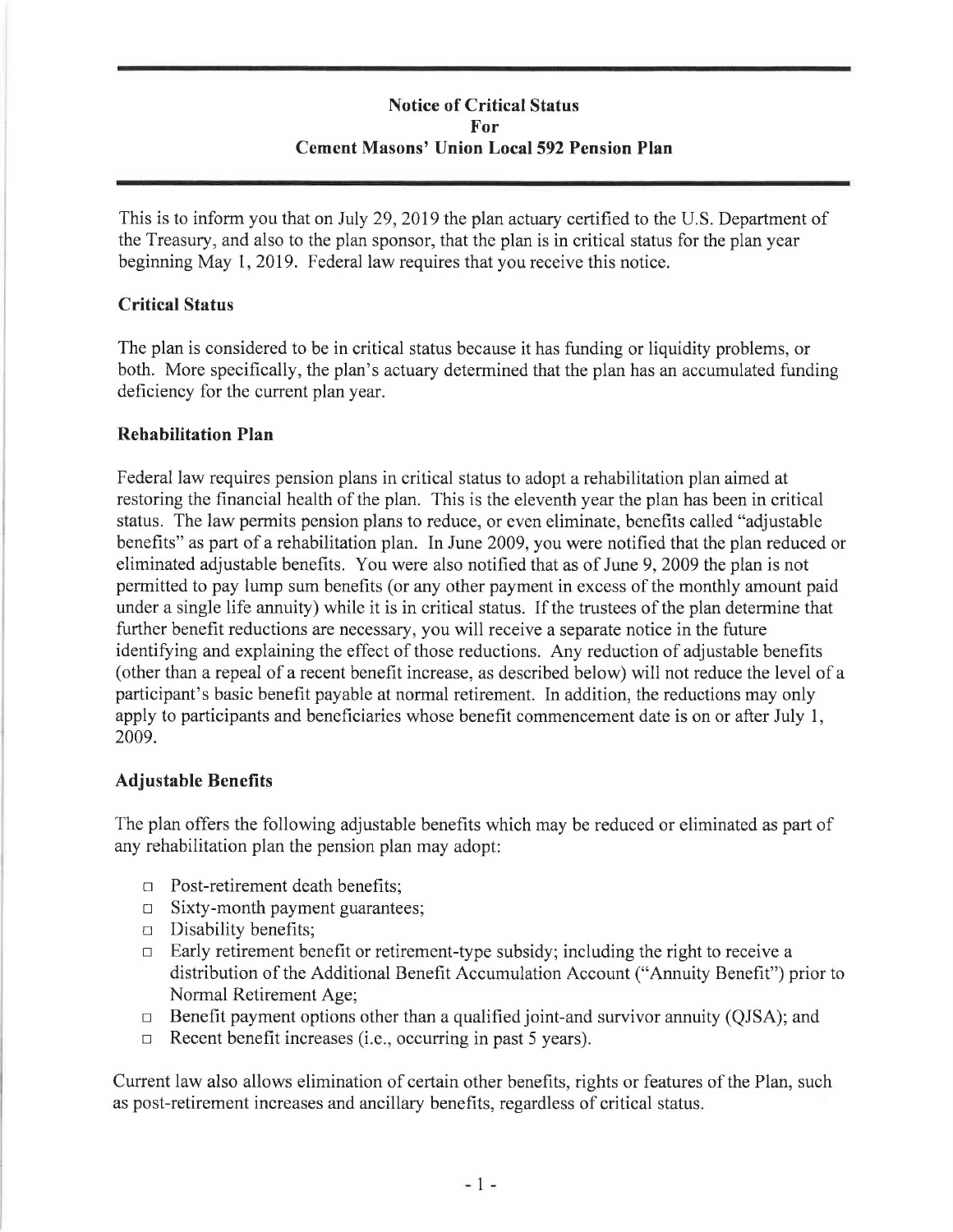# **Notice of Critical Status For Cement Masons' Union Local 592 Pension Plan**

This is to inform you that on July 29, 2019 the plan actuary certified to the U.S. Department of the Treasury, and also to the plan sponsor, that the plan is in critical status for the plan year beginning May 1, 2019. Federal law requires that you receive this notice.

## **Critical Status**

The plan is considered to be in critical status because it has funding or liquidity problems, or both. More specifically, the plan's actuary determined that the plan has an accumulated funding deficiency for the current plan year.

### **Rehabilitation Plan**

Federal law requires pension plans in critical status to adopt a rehabilitation plan aimed at restoring the financial health of the plan. This is the eleventh year the plan has been in critical status. The law permits pension plans to reduce, or even eliminate, benefits called "adjustable benefits" as part of a rehabilitation plan. In June 2009, you were notified that the plan reduced or eliminated adjustable benefits. You were also notified that as of June 9, 2009 the plan is not permitted to pay lump sum benefits ( or any other payment in excess of the monthly amount paid under a single life annuity) while it is in critical status. If the trustees of the plan determine that further benefit reductions are necessary, you will receive a separate notice in the future identifying and explaining the effect of those reductions. Any reduction of adjustable benefits ( other than a repeal of a recent benefit increase, as described below) will not reduce the level of a participant's basic benefit payable at normal retirement. In addition, the reductions may only apply to participants and beneficiaries whose benefit commencement date is on or after July 1, 2009.

## **Adjustable Benefits**

The plan offers the following adjustable benefits which may be reduced or eliminated as part of any rehabilitation plan the pension plan may adopt:

- □ Post-retirement death benefits;
- □ Sixty-month payment guarantees;
- □ Disability benefits;
- $\Box$  Early retirement benefit or retirement-type subsidy; including the right to receive a distribution of the Additional Benefit Accumulation Account ("Annuity Benefit") prior to Normal Retirement Age;
- $\Box$  Benefit payment options other than a qualified joint-and survivor annuity (QJSA); and
- $\Box$  Recent benefit increases (i.e., occurring in past 5 years).

Current law also allows elimination of certain other benefits, rights or features of the Plan, such as post-retirement increases and ancillary benefits, regardless of critical status.